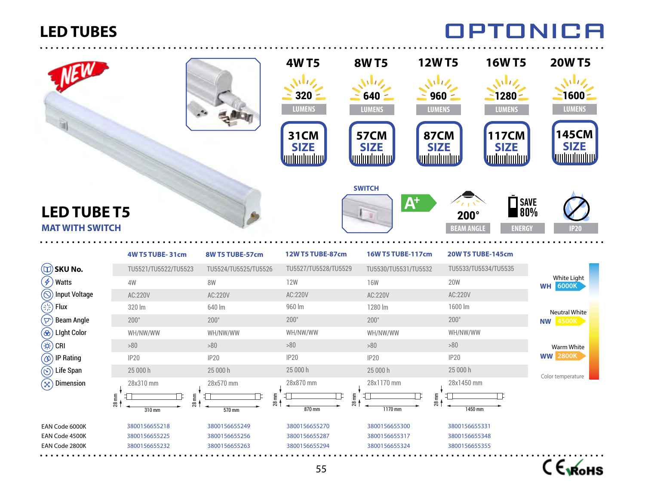

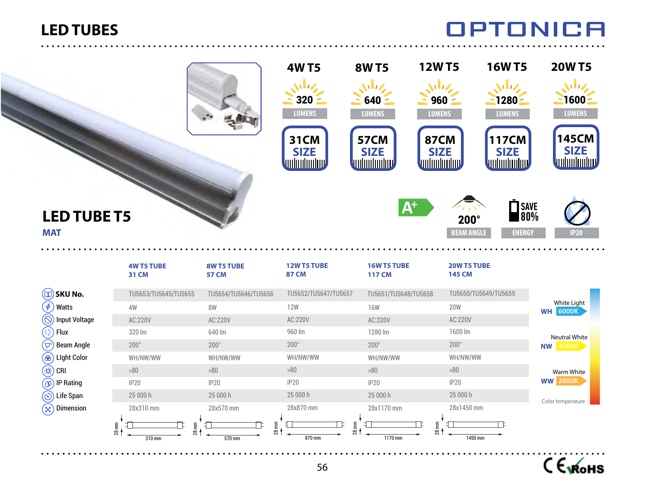### **OPTONICA**

|                                                                                                                                                                                                               |                                   |                            | <b>4WT5</b><br>$\bf{U}$<br>320<br><b>LUMENS</b><br><b>31CM</b><br><b>SIZE</b><br><u>unhunhur</u> | <b>12WT5</b><br><b>8WT5</b><br>$640 =$<br><b>LUMENS</b><br><b>57CM</b><br><b>SIZE</b><br><b>unlunlunluv</b> | <b>16WT5</b><br>いりん<br>WZ<br>$960 =$<br>$1280 -$<br><b>LUMENS</b><br><b>LUMENS</b><br><b>87CM</b><br><b>117CM</b><br><b>SIZE</b><br><b>SIZE</b><br>unhunhun<br><u>unlunlunluv</u> | <b>20WT5</b><br>$\sqrt{1/2}$<br>$\frac{2}{5}$ 1600 $\frac{2}{5}$<br><b>LUMENS</b><br><b>145CM</b><br><b>SIZE</b> |
|---------------------------------------------------------------------------------------------------------------------------------------------------------------------------------------------------------------|-----------------------------------|----------------------------|--------------------------------------------------------------------------------------------------|-------------------------------------------------------------------------------------------------------------|-----------------------------------------------------------------------------------------------------------------------------------------------------------------------------------|------------------------------------------------------------------------------------------------------------------|
| <b>LED TUBE T5</b><br><b>MAT</b>                                                                                                                                                                              | <b>4W T5 TUBE</b><br><b>31 CM</b> | 8W T5 TUBE<br><b>57 CM</b> | 12W T5 TUBE<br><b>87 CM</b>                                                                      | $A^+$<br>16W T5 TUBE<br><b>117 CM</b>                                                                       | $\bar{\blacksquare}$ SAVE<br>$\blacksquare$ 80%<br>$200^\circ$<br><b>BEAM ANGLE</b><br><b>ENERGY</b><br>20W T5 TUBE<br><b>145 CM</b>                                              | P <sub>20</sub>                                                                                                  |
| $\Box$ ) SKU No.                                                                                                                                                                                              | TU5653/TU5645/TU5655              | TU5654/TU5646/TU5656       | TU5652/TU5647/TU5657                                                                             | TU5651/TU5648/TU5658                                                                                        | TU5650/TU5649/TU5659                                                                                                                                                              |                                                                                                                  |
|                                                                                                                                                                                                               |                                   |                            |                                                                                                  |                                                                                                             |                                                                                                                                                                                   |                                                                                                                  |
|                                                                                                                                                                                                               |                                   |                            |                                                                                                  |                                                                                                             |                                                                                                                                                                                   | White Light                                                                                                      |
|                                                                                                                                                                                                               | 4W                                | <b>8W</b>                  | <b>12W</b>                                                                                       | <b>16W</b>                                                                                                  | <b>20W</b>                                                                                                                                                                        | <b>WH 6000K</b>                                                                                                  |
|                                                                                                                                                                                                               | AC:220V<br>320 lm                 | AC:220V                    | AC:220V<br>960 lm                                                                                | AC:220V                                                                                                     | AC:220V<br>1600 lm                                                                                                                                                                |                                                                                                                  |
|                                                                                                                                                                                                               | $200^\circ$                       | 640 lm<br>$200^\circ$      | $200^\circ$                                                                                      | 1280 lm<br>$200^\circ$                                                                                      | $200^\circ$                                                                                                                                                                       | <b>Neutral White</b>                                                                                             |
|                                                                                                                                                                                                               | WH/NW/WW                          | WH/NW/WW                   | WH/NW/WW                                                                                         | WH/NW/WW                                                                                                    | WH/NW/WW                                                                                                                                                                          | <b>NW 4500K</b>                                                                                                  |
|                                                                                                                                                                                                               | $>80$                             | $>80$                      | $>80$                                                                                            | $>80$                                                                                                       | $>80$                                                                                                                                                                             | Warm White                                                                                                       |
| $(\not\phi)$ Watts<br>$\hat{O}$ Input Voltage<br>$\left(\frac{1}{2}, \frac{1}{2}\right)$ Flux<br>$(\nabla)$ Beam Angle<br>$\circledast$ ) Light Color<br>$\left(\nleftrightarrow\right)$ Cri<br>(1) IP Rating | IP20                              | IP20                       | <b>IP20</b>                                                                                      | IP20                                                                                                        | IP20                                                                                                                                                                              | <b>WW 2800K</b>                                                                                                  |
| $\circledcirc$ ) Life Span                                                                                                                                                                                    | 25 000 h                          | 25 000 h                   | 25 000 h                                                                                         | 25 000 h                                                                                                    | 25 000 h                                                                                                                                                                          | Color temperature                                                                                                |



. . . . . . . . . . .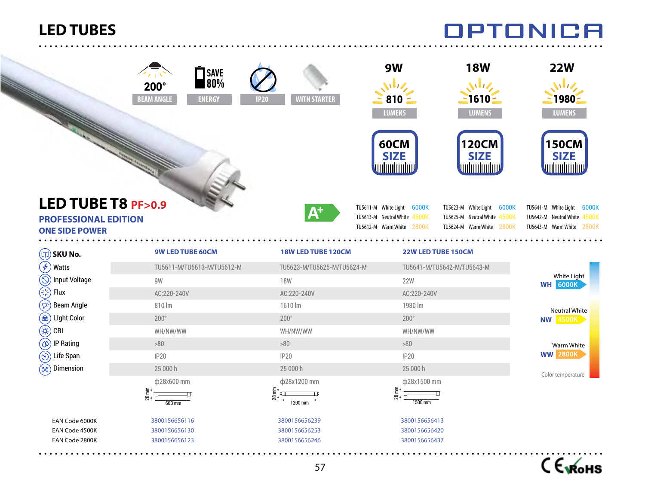W

|                                                                                                                    | SAVE<br>80%<br>$200^\circ$<br><b>BEAM ANGLE</b><br><b>ENERGY</b> | <b>WITH STARTER</b><br><b>IP20</b> | 9W<br>いいん<br>$810 =$<br><b>LUMENS</b>                                                   | <b>18W</b><br>WV,<br>$1610 -$<br><b>LUMENS</b>                                          | <b>22W</b><br>いりん<br>1980<br><b>LUMENS</b>                                              |  |
|--------------------------------------------------------------------------------------------------------------------|------------------------------------------------------------------|------------------------------------|-----------------------------------------------------------------------------------------|-----------------------------------------------------------------------------------------|-----------------------------------------------------------------------------------------|--|
|                                                                                                                    |                                                                  |                                    | <b>60CM</b><br><b>SIZE</b><br><u>uduuluuluv</u>                                         | <b>120CM</b><br><b>SIZE</b><br>unhunhun                                                 | 150CM<br><b>SIZE</b><br>unhmhmhnd                                                       |  |
| LED TUBE T8 PF>0.9<br><b>PROFESSIONAL EDITION</b><br><b>ONE SIDE POWER</b>                                         |                                                                  | ${\bf A}^*$                        | TU5611-M White Light 6000K<br>TU5613-M Neutral White 4500K<br>TU5612-M Warm White 2800K | TU5623-M White Light 6000K<br>TU5625-M Neutral White 4500K<br>TU5624-M Warm White 2800K | TU5641-M White Light 6000K<br>TU5642-M Neutral White 4500K<br>TU5643-M Warm White 2800K |  |
| $(\Box)$ SKU No.                                                                                                   | <b>9W LED TUBE 60CM</b>                                          | 18W LED TUBE 120CM                 | 22W LED TUBE 150CM                                                                      |                                                                                         |                                                                                         |  |
| $\overline{\mathcal{F}}$<br>Watts                                                                                  | TU5611-M/TU5613-M/TU5612-M                                       | TU5623-M/TU5625-M/TU5624-M         |                                                                                         | TU5641-M/TU5642-M/TU5643-M                                                              |                                                                                         |  |
| $\bigcirc$<br><b>Input Voltage</b>                                                                                 | 9W                                                               | <b>18W</b>                         | <b>22W</b>                                                                              |                                                                                         | White Light                                                                             |  |
| دي.<br>رانې<br>Flux                                                                                                | AC:220-240V                                                      | AC:220-240V                        | AC:220-240V                                                                             |                                                                                         | <b>WH 6000K</b>                                                                         |  |
|                                                                                                                    |                                                                  | 1610 lm                            | 1980 lm                                                                                 |                                                                                         |                                                                                         |  |
|                                                                                                                    | 810 lm                                                           |                                    |                                                                                         |                                                                                         |                                                                                         |  |
| <b>Beam Angle</b>                                                                                                  | $200^\circ$                                                      | $200^\circ$                        | $200^\circ$                                                                             |                                                                                         | Neutral White                                                                           |  |
|                                                                                                                    | WH/NW/WW                                                         | WH/NW/WW                           | WH/NW/WW                                                                                |                                                                                         | <b>NW 4500K</b>                                                                         |  |
| CRI<br><b>IP Rating</b>                                                                                            | >80                                                              | >80                                | >80                                                                                     |                                                                                         |                                                                                         |  |
| Life Span                                                                                                          | <b>IP20</b>                                                      | <b>IP20</b>                        | <b>IP20</b>                                                                             |                                                                                         | Warm White<br><b>WW 2800K</b>                                                           |  |
| Dimension                                                                                                          | 25 000 h                                                         | 25 000 h                           | 25 000 h                                                                                |                                                                                         |                                                                                         |  |
|                                                                                                                    | ф28x600 mm                                                       | ф28x1200 mm                        | ф28x1500 mm                                                                             |                                                                                         | Color temperature                                                                       |  |
|                                                                                                                    | 28 mm<br>$600 \text{ mm}$                                        | $28$ mm<br>1200 mm                 | $28 \text{ mm}$<br>1500 mm                                                              |                                                                                         |                                                                                         |  |
| $\widehat{\nabla}$<br>$\circledast$ Light Color<br>€<br>$\circledcirc$<br>$\circledcirc$<br>$\widehat{\mathbb{X}}$ | 3800156656116                                                    | 3800156656239                      | 3800156656413                                                                           |                                                                                         |                                                                                         |  |
| EAN Code 6000K<br>EAN Code 4500K                                                                                   | 3800156656130                                                    | 3800156656253                      | 3800156656420                                                                           |                                                                                         |                                                                                         |  |

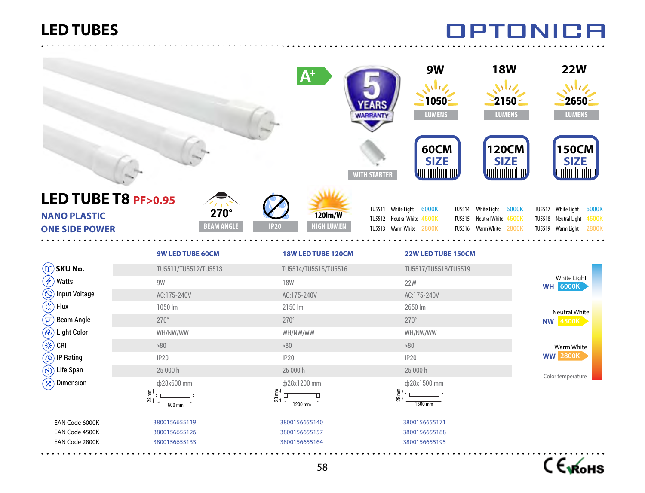<u>. . . . . . . . . . . . . . . .</u>

|                                                                     |                                                                                                                                                                            | <b>WARRANT</b>                                               | <b>9W</b><br>$1050 -$<br><b>LUMENS</b>                                            | <b>18W</b><br><b>22W</b><br>$\sqrt{1/z}$<br>いりん<br>$2650 -$<br>$2150 -$<br><b>LUMENS</b><br><b>LUMENS</b>                                                              |
|---------------------------------------------------------------------|----------------------------------------------------------------------------------------------------------------------------------------------------------------------------|--------------------------------------------------------------|-----------------------------------------------------------------------------------|------------------------------------------------------------------------------------------------------------------------------------------------------------------------|
|                                                                     |                                                                                                                                                                            | <b>WITH STARTER</b>                                          | <b>60CM</b><br><b>SIZE</b><br><u>unhnuhmulmu</u>                                  | <b>120CM</b><br><b>150CM</b><br><b>SIZE</b><br><b>SIZE</b><br>William<br>unhunlunluv                                                                                   |
| LED TUBE T8 PF>0.95<br><b>NANO PLASTIC</b><br><b>ONE SIDE POWER</b> | $270^\circ$<br><b>BEAM ANGLE</b>                                                                                                                                           | <b>120lm/W</b><br><b>HIGH LUMEN</b><br><b>IP20</b>           | TU5511 White Light 6000K<br>TU5512 Neutral White 4500K<br>TU5513 Warm White 2800K | TU5514 White Light 6000K<br>TU5517 White Light 6000K<br>TU5515 Neutral White 4500K<br>TU5518 Neutral Light 4500K<br>TU5516 Warm White 2800K<br>TU5519 Warm Light 2800K |
|                                                                     | 9W LED TUBE 60CM                                                                                                                                                           | 18W LED TUBE 120CM                                           | 22W LED TUBE 150CM                                                                |                                                                                                                                                                        |
| $\mathbf{D}$ SKU No.                                                | TU5511/TU5512/TU5513                                                                                                                                                       | TU5514/TU5515/TU5516                                         | TU5517/TU5518/TU5519                                                              |                                                                                                                                                                        |
| $\oint$<br><b>Watts</b>                                             | 9W                                                                                                                                                                         | <b>18W</b>                                                   | <b>22W</b>                                                                        | White Light<br><b>WH 6000K</b>                                                                                                                                         |
| $\circledS$ Input Voltage                                           | AC:175-240V                                                                                                                                                                | AC:175-240V                                                  | AC:175-240V                                                                       |                                                                                                                                                                        |
| $\left(\frac{\partial V}{\partial x}\right)$ Flux                   | 1050 lm                                                                                                                                                                    | 2150 lm                                                      | 2650 lm                                                                           | Neutral White                                                                                                                                                          |
| $(\overline{\triangledown})$ Beam Angle                             | $270^\circ$                                                                                                                                                                | $270^\circ$                                                  | $270^\circ$                                                                       | <b>NW 4500K</b>                                                                                                                                                        |
| $\circledast$ ) Light Color                                         | WH/NW/WW                                                                                                                                                                   | WH/NW/WW                                                     | WH/NW/WW                                                                          |                                                                                                                                                                        |
| $(\nleftrightarrow)$ CRI                                            | >80                                                                                                                                                                        | >80                                                          | >80                                                                               | Warm White                                                                                                                                                             |
| $\circledcirc$ IP Rating                                            | <b>IP20</b>                                                                                                                                                                | <b>IP20</b>                                                  | IP20                                                                              | <b>WW 2800K</b>                                                                                                                                                        |
| $\circledcirc$ ) Life Span                                          | 25 000 h                                                                                                                                                                   | 25 000 h                                                     | 25 000 h                                                                          | Color temperature                                                                                                                                                      |
| $\mathcal{L}(\mathbf{x})$ Dimension                                 | ф28x600 mm                                                                                                                                                                 | ф28x1200 mm                                                  | ф28x1500 mm                                                                       |                                                                                                                                                                        |
|                                                                     | $\begin{array}{c}\n\overline{28} & \overline{11} \\ \overline{11} & \overline{11}\n\end{array}$<br>$\begin{array}{c}\n\hline\n\hline\n\hline\n600 \text{ mm}\n\end{array}$ | $28 \text{ mm}$<br>$\frac{1200 \text{ mm}}{1200 \text{ mm}}$ | $28 \text{ mm}$<br>$\begin{array}{c}\n\hline\n\hline\n\hline\n\end{array}$        |                                                                                                                                                                        |
| EAN Code 6000K                                                      | 3800156655119                                                                                                                                                              | 3800156655140                                                | 3800156655171                                                                     |                                                                                                                                                                        |
| EAN Code 4500K                                                      | 3800156655126                                                                                                                                                              | 3800156655157                                                | 3800156655188                                                                     |                                                                                                                                                                        |
| EAN Code 2800K                                                      | 3800156655133                                                                                                                                                              | 3800156655164                                                | 3800156655195                                                                     |                                                                                                                                                                        |
|                                                                     |                                                                                                                                                                            | 58                                                           |                                                                                   | С Ємонѕ                                                                                                                                                                |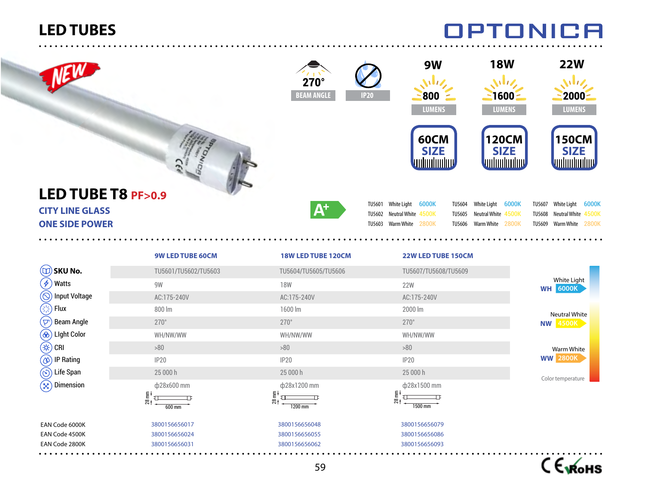|                                                                       |                                                                                                                                              | $270^\circ$<br><b>BEAM ANGLE</b> | <b>IP20</b>                                  | 9W<br>$\mathbf{M}$<br>800<br><b>LUMENS</b> | <b>18W</b><br>いしん<br>$1600 -$<br><b>LUMENS</b>                                             | <b>22W</b><br>いしん<br>$2000 -$<br><b>LUMENS</b>                                                 |  |
|-----------------------------------------------------------------------|----------------------------------------------------------------------------------------------------------------------------------------------|----------------------------------|----------------------------------------------|--------------------------------------------|--------------------------------------------------------------------------------------------|------------------------------------------------------------------------------------------------|--|
|                                                                       |                                                                                                                                              |                                  |                                              | <b>60CM</b><br><b>SIZE</b><br>unhunhun     | 120CM<br><b>SIZE</b><br><b>unhunhunhuv</b>                                                 | <b>150CM</b><br><b>SIZE</b><br>unhunlunluv                                                     |  |
| LED TUBE T8 PF>0.9<br><b>CITY LINE GLASS</b><br><b>ONE SIDE POWER</b> |                                                                                                                                              | $\mathbf{A}^+$                   | TU5601 White Light 6000K<br>TU5602<br>TU5603 | Neutral White 4500K<br>Warm White 2800K    | White Light 6000K<br>TU5604<br>TU5605<br>Neutral White 4500K<br>Warm White 2800K<br>TU5606 | White Light 6000K<br>TU5607<br><b>TU5608</b><br>Neutral White 4500K<br>TU5609 Warm White 2800K |  |
|                                                                       | <b>9W LED TUBE 60CM</b>                                                                                                                      | 18W LED TUBE 120CM               |                                              | 22W LED TUBE 150CM                         |                                                                                            |                                                                                                |  |
| $(\Box)$ SKU No.                                                      | TU5601/TU5602/TU5603                                                                                                                         | TU5604/TU5605/TU5606             |                                              | TU5607/TU5608/TU5609                       |                                                                                            |                                                                                                |  |
| $\mathscr{F}_\mathscr{A}$<br>Watts                                    | 9W                                                                                                                                           | <b>18W</b>                       |                                              | <b>22W</b>                                 |                                                                                            | White Light<br><b>WH 6000K</b>                                                                 |  |
| $\circledS$ Input Voltage                                             | AC:175-240V                                                                                                                                  | AC:175-240V                      |                                              | AC:175-240V                                |                                                                                            |                                                                                                |  |
| $\bigodot$<br>Flux                                                    | 800 lm                                                                                                                                       | 1600 lm                          | 2000 lm                                      |                                            |                                                                                            |                                                                                                |  |
| $(\nabla)$<br><b>Beam Angle</b>                                       | $270^\circ$                                                                                                                                  | $270^\circ$                      | $270^\circ$                                  |                                            |                                                                                            | <b>Neutral White</b><br><b>NW 4500K</b>                                                        |  |
| $^\circledR)$<br><b>Light Color</b>                                   | WH/NW/WW                                                                                                                                     | WH/NW/WW                         |                                              | WH/NW/WW                                   |                                                                                            |                                                                                                |  |
| (#)<br>CRI                                                            | >80                                                                                                                                          | >80                              |                                              | >80                                        |                                                                                            | Warm White                                                                                     |  |
| $^\text{\textregistered}$<br>IP Rating                                | <b>IP20</b>                                                                                                                                  | <b>IP20</b>                      |                                              | <b>IP20</b>                                |                                                                                            | <b>WW 2800K</b>                                                                                |  |
| $\circledS$<br>Life Span                                              | 25 000 h                                                                                                                                     | 25 000 h                         |                                              | 25 000 h                                   |                                                                                            |                                                                                                |  |
| Dimension<br>$(\boxtimes)$                                            | ф28x600 mm                                                                                                                                   | φ28x1200 mm                      |                                              | ф28x1500 mm                                |                                                                                            | Color temperature                                                                              |  |
|                                                                       | $\begin{array}{c}\n\overline{28} & \overline{11} \\ \overline{11} & \overline{11} \\ \overline{11} & \overline{11}\n\end{array}$<br>$600$ mm | $28 \text{ mm}$<br>ᄑ<br>1200 mm  | $28 \text{ mm}$                              | $\Box$<br>1500 mm                          |                                                                                            |                                                                                                |  |
| EAN Code 6000K                                                        | 3800156656017                                                                                                                                | 3800156656048                    |                                              | 3800156656079                              |                                                                                            |                                                                                                |  |
| EAN Code 4500K                                                        | 3800156656024                                                                                                                                | 3800156656055                    |                                              | 3800156656086                              |                                                                                            |                                                                                                |  |
| EAN Code 2800K                                                        | 3800156656031                                                                                                                                | 3800156656062                    |                                              | 3800156656093                              |                                                                                            |                                                                                                |  |
|                                                                       |                                                                                                                                              |                                  |                                              |                                            |                                                                                            | <i>__</i>                                                                                      |  |

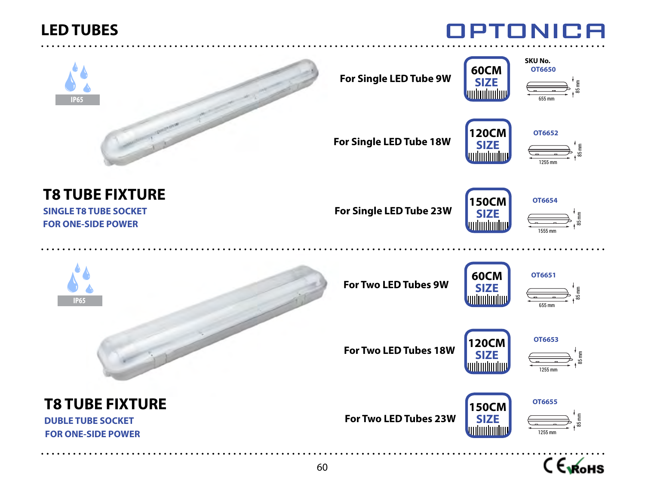



**For Single LED Tube 9W**





**For Single LED Tube 18W**





**T8 TUBE FIXTURE**

**SINGLE T8 TUBE SOCKET FOR ONE-SIDE POWER**

**For Single LED Tube 23W**





**IP65**

**For Two LED Tubes 9W**





**For Two LED Tubes 18W**





**T8 TUBE FIXTURE DUBLE TUBE SOCKET**

 **FOR ONE-SIDE POWER**

**For Two LED Tubes 23W**





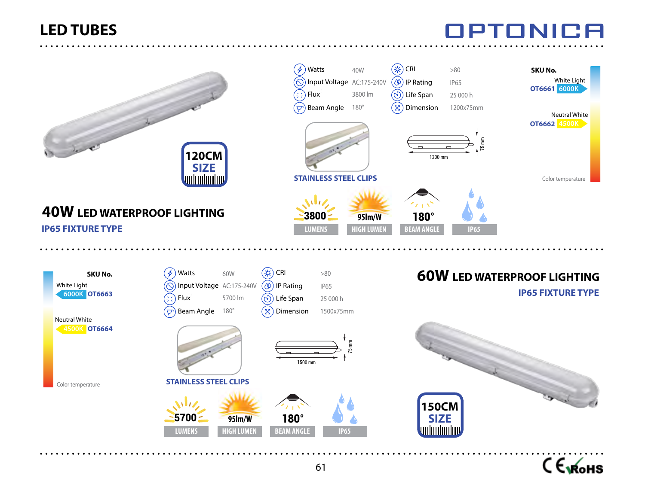

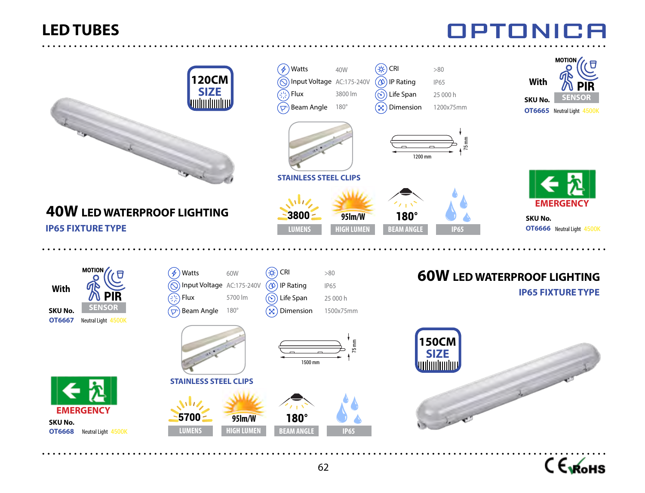

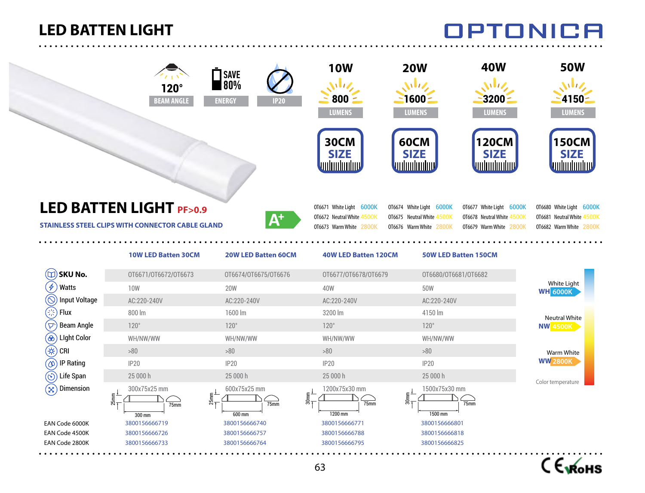#### **LED BATTEN LIGHT**